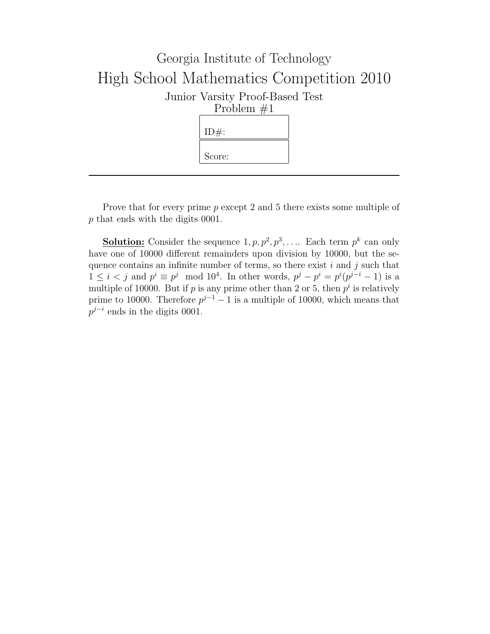

Prove that for every prime p except 2 and 5 there exists some multiple of p that ends with the digits 0001.

**Solution:** Consider the sequence  $1, p, p^2, p^3, \ldots$  Each term  $p^k$  can only have one of 10000 different remainders upon division by 10000, but the sequence contains an infinite number of terms, so there exist  $i$  and  $j$  such that  $1 \leq i < j$  and  $p^i \equiv p^j \mod 10^4$ . In other words,  $p^j - p^i = p^i(p^{j-i} - 1)$  is a multiple of 10000. But if p is any prime other than 2 or 5, then  $p^i$  is relatively prime to 10000. Therefore  $p^{j-1} - 1$  is a multiple of 10000, which means that  $p^{j-i}$  ends in the digits 0001.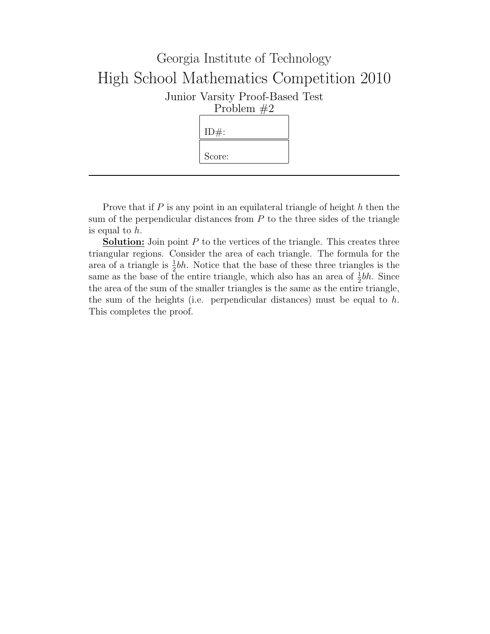

Prove that if  $P$  is any point in an equilateral triangle of height  $h$  then the sum of the perpendicular distances from  $P$  to the three sides of the triangle is equal to h.

**Solution:** Join point  $P$  to the vertices of the triangle. This creates three triangular regions. Consider the area of each triangle. The formula for the area of a triangle is  $\frac{1}{2}bh$ . Notice that the base of these three triangles is the same as the base of the entire triangle, which also has an area of  $\frac{1}{2}bh$ . Since the area of the sum of the smaller triangles is the same as the entire triangle, the sum of the heights (i.e. perpendicular distances) must be equal to  $h$ . This completes the proof.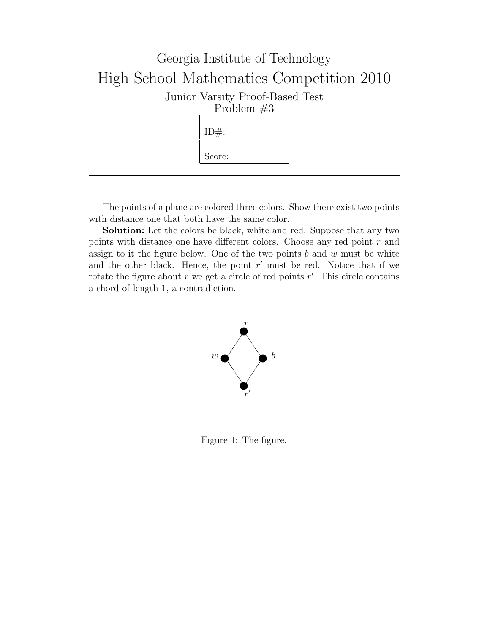

The points of a plane are colored three colors. Show there exist two points with distance one that both have the same color.

Solution: Let the colors be black, white and red. Suppose that any two points with distance one have different colors. Choose any red point  $r$  and assign to it the figure below. One of the two points  $b$  and  $w$  must be white and the other black. Hence, the point  $r'$  must be red. Notice that if we rotate the figure about  $r$  we get a circle of red points  $r'$ . This circle contains a chord of length 1, a contradiction.



Figure 1: The figure.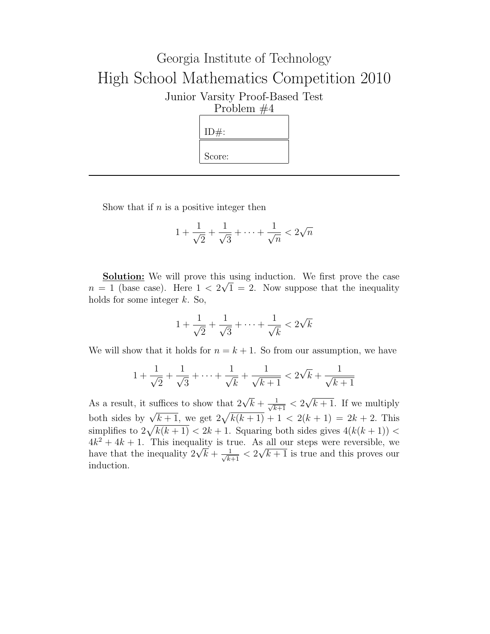

Show that if  $n$  is a positive integer then

$$
1 + \frac{1}{\sqrt{2}} + \frac{1}{\sqrt{3}} + \dots + \frac{1}{\sqrt{n}} < 2\sqrt{n}
$$

**<u>Solution:</u>** We will prove this using induction. We first prove the case  $n = 1$  (base case). Here  $1 < 2\sqrt{1} = 2$ . Now suppose that the inequality holds for some integer  $k$ . So,

$$
1 + \frac{1}{\sqrt{2}} + \frac{1}{\sqrt{3}} + \dots + \frac{1}{\sqrt{k}} < 2\sqrt{k}
$$

We will show that it holds for  $n = k + 1$ . So from our assumption, we have

$$
1 + \frac{1}{\sqrt{2}} + \frac{1}{\sqrt{3}} + \cdots + \frac{1}{\sqrt{k}} + \frac{1}{\sqrt{k+1}} < 2\sqrt{k} + \frac{1}{\sqrt{k+1}}
$$

As a result, it suffices to show that  $2\sqrt{k} + \frac{1}{\sqrt{k+1}} < 2$ √  $k+1$ . If we multiply both sides by  $\sqrt{k+1}$ , we get  $2\sqrt{k(k+1)} + 1 < 2(k+1) = 2k + 2$ . This both sides by  $\sqrt{k+1}$ , we get  $2\sqrt{k(k+1)} + 1 < 2(k+1) = 2k + 2$ . This<br>simplifies to  $2\sqrt{k(k+1)} < 2k+1$ . Squaring both sides gives  $4(k(k+1)) <$  $4k^2 + 4k + 1$ . This inequality is true. As all our steps were reversible, we  $4k^2 + 4k + 1$ . This inequality is true. As all our steps were reversible, we have that the inequality  $2\sqrt{k} + \frac{1}{\sqrt{k+1}} < 2\sqrt{k+1}$  is true and this proves our induction.